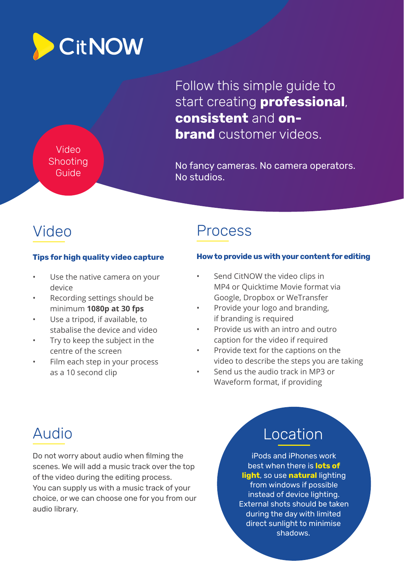

Follow this simple guide to start creating **professional**, **consistent** and **onbrand** customer videos

Video **Shooting** Guide

No fancy cameras. No camera operators. No studios.

## **Tips for high quality video capture**

- Use the native camera on your device
- Recording settings should be minimum **1080p at 30 fps**
- Use a tripod, if available, to stabalise the device and video
- Try to keep the subject in the centre of the screen
- Film each step in your process as a 10 second clip

## Video Process

### **How to provide us with your content for editing**

- Send CitNOW the video clips in MP4 or Quicktime Movie format via Google, Dropbox or WeTransfer
- Provide your logo and branding, if branding is required
- Provide us with an intro and outro caption for the video if required
- Provide text for the captions on the video to describe the steps you are taking
- Send us the audio track in MP3 or Waveform format, if providing

Do not worry about audio when filming the scenes. We will add a music track over the top of the video during the editing process. You can supply us with a music track of your choice, or we can choose one for you from our audio library.

## Audio **Location**

iPods and iPhones work best when there is **lots of light**, so use **natural** lighting from windows if possible instead of device lighting. External shots should be taken during the day with limited direct sunlight to minimise shadows.